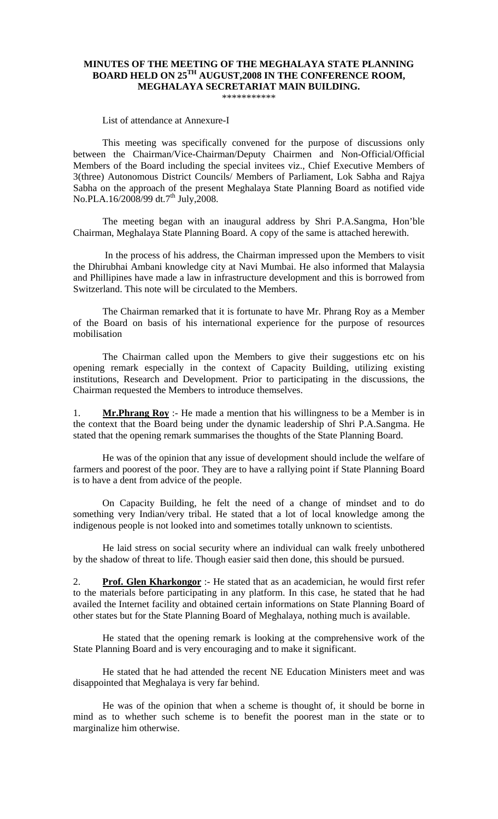## **MINUTES OF THE MEETING OF THE MEGHALAYA STATE PLANNING BOARD HELD ON 25TH AUGUST,2008 IN THE CONFERENCE ROOM, MEGHALAYA SECRETARIAT MAIN BUILDING.**

\*\*\*\*\*\*\*\*\*\*\*

List of attendance at Annexure-I

This meeting was specifically convened for the purpose of discussions only between the Chairman/Vice-Chairman/Deputy Chairmen and Non-Official/Official Members of the Board including the special invitees viz., Chief Executive Members of 3(three) Autonomous District Councils/ Members of Parliament, Lok Sabha and Rajya Sabha on the approach of the present Meghalaya State Planning Board as notified vide No.PLA.16/2008/99 dt.7<sup>th</sup> July, 2008.

The meeting began with an inaugural address by Shri P.A.Sangma, Hon'ble Chairman, Meghalaya State Planning Board. A copy of the same is attached herewith.

 In the process of his address, the Chairman impressed upon the Members to visit the Dhirubhai Ambani knowledge city at Navi Mumbai. He also informed that Malaysia and Phillipines have made a law in infrastructure development and this is borrowed from Switzerland. This note will be circulated to the Members.

The Chairman remarked that it is fortunate to have Mr. Phrang Roy as a Member of the Board on basis of his international experience for the purpose of resources mobilisation

The Chairman called upon the Members to give their suggestions etc on his opening remark especially in the context of Capacity Building, utilizing existing institutions, Research and Development. Prior to participating in the discussions, the Chairman requested the Members to introduce themselves.

1. **Mr.Phrang Roy** :- He made a mention that his willingness to be a Member is in the context that the Board being under the dynamic leadership of Shri P.A.Sangma. He stated that the opening remark summarises the thoughts of the State Planning Board.

He was of the opinion that any issue of development should include the welfare of farmers and poorest of the poor. They are to have a rallying point if State Planning Board is to have a dent from advice of the people.

On Capacity Building, he felt the need of a change of mindset and to do something very Indian/very tribal. He stated that a lot of local knowledge among the indigenous people is not looked into and sometimes totally unknown to scientists.

He laid stress on social security where an individual can walk freely unbothered by the shadow of threat to life. Though easier said then done, this should be pursued.

2. **Prof. Glen Kharkongor** :- He stated that as an academician, he would first refer to the materials before participating in any platform. In this case, he stated that he had availed the Internet facility and obtained certain informations on State Planning Board of other states but for the State Planning Board of Meghalaya, nothing much is available.

 He stated that the opening remark is looking at the comprehensive work of the State Planning Board and is very encouraging and to make it significant.

 He stated that he had attended the recent NE Education Ministers meet and was disappointed that Meghalaya is very far behind.

 He was of the opinion that when a scheme is thought of, it should be borne in mind as to whether such scheme is to benefit the poorest man in the state or to marginalize him otherwise.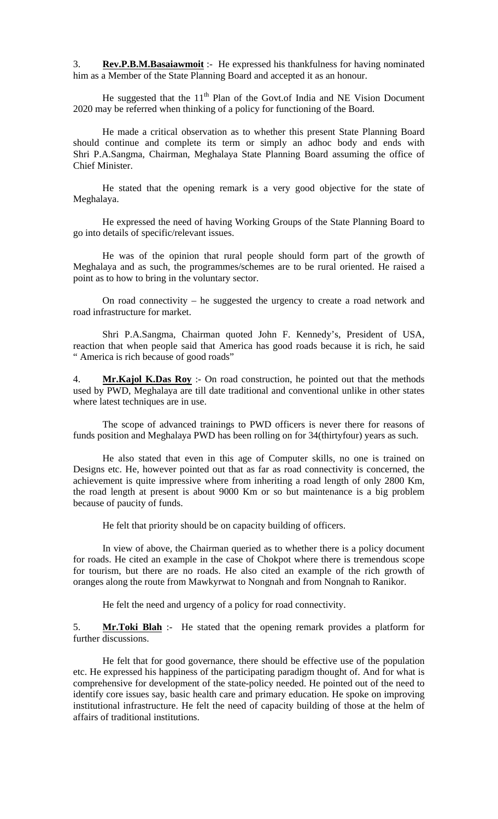3. **Rev.P.B.M.Basaiawmoit** :- He expressed his thankfulness for having nominated him as a Member of the State Planning Board and accepted it as an honour.

He suggested that the  $11<sup>th</sup>$  Plan of the Govt.of India and NE Vision Document 2020 may be referred when thinking of a policy for functioning of the Board.

 He made a critical observation as to whether this present State Planning Board should continue and complete its term or simply an adhoc body and ends with Shri P.A.Sangma, Chairman, Meghalaya State Planning Board assuming the office of Chief Minister.

 He stated that the opening remark is a very good objective for the state of Meghalaya.

 He expressed the need of having Working Groups of the State Planning Board to go into details of specific/relevant issues.

 He was of the opinion that rural people should form part of the growth of Meghalaya and as such, the programmes/schemes are to be rural oriented. He raised a point as to how to bring in the voluntary sector.

 On road connectivity – he suggested the urgency to create a road network and road infrastructure for market.

 Shri P.A.Sangma, Chairman quoted John F. Kennedy's, President of USA, reaction that when people said that America has good roads because it is rich, he said " America is rich because of good roads"

4. **Mr.Kajol K.Das Roy** :- On road construction, he pointed out that the methods used by PWD, Meghalaya are till date traditional and conventional unlike in other states where latest techniques are in use.

 The scope of advanced trainings to PWD officers is never there for reasons of funds position and Meghalaya PWD has been rolling on for 34(thirtyfour) years as such.

 He also stated that even in this age of Computer skills, no one is trained on Designs etc. He, however pointed out that as far as road connectivity is concerned, the achievement is quite impressive where from inheriting a road length of only 2800 Km, the road length at present is about 9000 Km or so but maintenance is a big problem because of paucity of funds.

He felt that priority should be on capacity building of officers.

 In view of above, the Chairman queried as to whether there is a policy document for roads. He cited an example in the case of Chokpot where there is tremendous scope for tourism, but there are no roads. He also cited an example of the rich growth of oranges along the route from Mawkyrwat to Nongnah and from Nongnah to Ranikor.

He felt the need and urgency of a policy for road connectivity.

5. **Mr.Toki Blah** :- He stated that the opening remark provides a platform for further discussions.

 He felt that for good governance, there should be effective use of the population etc. He expressed his happiness of the participating paradigm thought of. And for what is comprehensive for development of the state-policy needed. He pointed out of the need to identify core issues say, basic health care and primary education. He spoke on improving institutional infrastructure. He felt the need of capacity building of those at the helm of affairs of traditional institutions.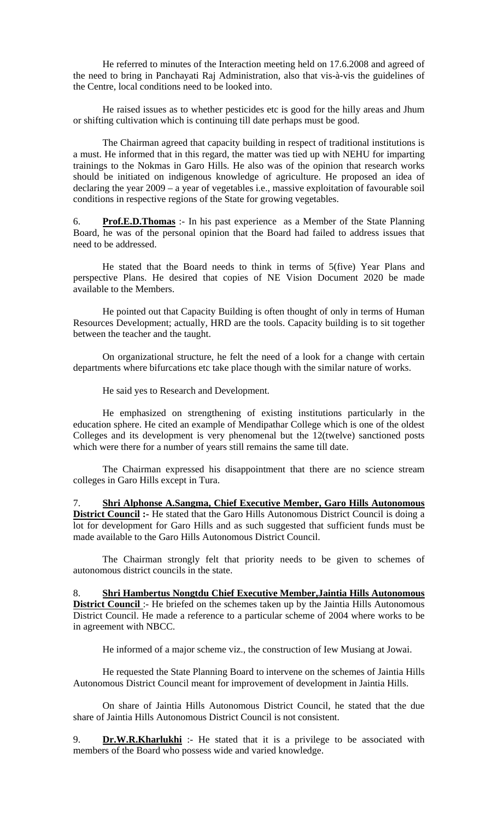He referred to minutes of the Interaction meeting held on 17.6.2008 and agreed of the need to bring in Panchayati Raj Administration, also that vis-à-vis the guidelines of the Centre, local conditions need to be looked into.

 He raised issues as to whether pesticides etc is good for the hilly areas and Jhum or shifting cultivation which is continuing till date perhaps must be good.

 The Chairman agreed that capacity building in respect of traditional institutions is a must. He informed that in this regard, the matter was tied up with NEHU for imparting trainings to the Nokmas in Garo Hills. He also was of the opinion that research works should be initiated on indigenous knowledge of agriculture. He proposed an idea of declaring the year 2009 – a year of vegetables i.e., massive exploitation of favourable soil conditions in respective regions of the State for growing vegetables.

6. **Prof.E.D.Thomas** :- In his past experience as a Member of the State Planning Board, he was of the personal opinion that the Board had failed to address issues that need to be addressed.

He stated that the Board needs to think in terms of 5(five) Year Plans and perspective Plans. He desired that copies of NE Vision Document 2020 be made available to the Members.

He pointed out that Capacity Building is often thought of only in terms of Human Resources Development; actually, HRD are the tools. Capacity building is to sit together between the teacher and the taught.

On organizational structure, he felt the need of a look for a change with certain departments where bifurcations etc take place though with the similar nature of works.

He said yes to Research and Development.

He emphasized on strengthening of existing institutions particularly in the education sphere. He cited an example of Mendipathar College which is one of the oldest Colleges and its development is very phenomenal but the 12(twelve) sanctioned posts which were there for a number of years still remains the same till date.

The Chairman expressed his disappointment that there are no science stream colleges in Garo Hills except in Tura.

7. **Shri Alphonse A.Sangma, Chief Executive Member, Garo Hills Autonomous District Council :-** He stated that the Garo Hills Autonomous District Council is doing a lot for development for Garo Hills and as such suggested that sufficient funds must be made available to the Garo Hills Autonomous District Council.

 The Chairman strongly felt that priority needs to be given to schemes of autonomous district councils in the state.

8. **Shri Hambertus Nongtdu Chief Executive Member,Jaintia Hills Autonomous District Council** :- He briefed on the schemes taken up by the Jaintia Hills Autonomous District Council. He made a reference to a particular scheme of 2004 where works to be in agreement with NBCC.

He informed of a major scheme viz., the construction of Iew Musiang at Jowai.

 He requested the State Planning Board to intervene on the schemes of Jaintia Hills Autonomous District Council meant for improvement of development in Jaintia Hills.

 On share of Jaintia Hills Autonomous District Council, he stated that the due share of Jaintia Hills Autonomous District Council is not consistent.

9. **Dr.W.R.Kharlukhi** :- He stated that it is a privilege to be associated with members of the Board who possess wide and varied knowledge.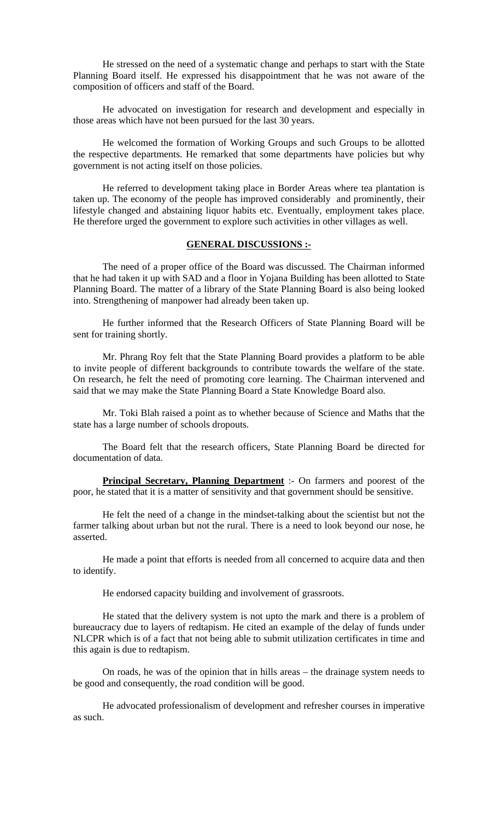He stressed on the need of a systematic change and perhaps to start with the State Planning Board itself. He expressed his disappointment that he was not aware of the composition of officers and staff of the Board.

 He advocated on investigation for research and development and especially in those areas which have not been pursued for the last 30 years.

 He welcomed the formation of Working Groups and such Groups to be allotted the respective departments. He remarked that some departments have policies but why government is not acting itself on those policies.

 He referred to development taking place in Border Areas where tea plantation is taken up. The economy of the people has improved considerably and prominently, their lifestyle changed and abstaining liquor habits etc. Eventually, employment takes place. He therefore urged the government to explore such activities in other villages as well.

## **GENERAL DISCUSSIONS :-**

 The need of a proper office of the Board was discussed. The Chairman informed that he had taken it up with SAD and a floor in Yojana Building has been allotted to State Planning Board. The matter of a library of the State Planning Board is also being looked into. Strengthening of manpower had already been taken up.

 He further informed that the Research Officers of State Planning Board will be sent for training shortly.

 Mr. Phrang Roy felt that the State Planning Board provides a platform to be able to invite people of different backgrounds to contribute towards the welfare of the state. On research, he felt the need of promoting core learning. The Chairman intervened and said that we may make the State Planning Board a State Knowledge Board also.

 Mr. Toki Blah raised a point as to whether because of Science and Maths that the state has a large number of schools dropouts.

 The Board felt that the research officers, State Planning Board be directed for documentation of data.

**Principal Secretary, Planning Department** :- On farmers and poorest of the poor, he stated that it is a matter of sensitivity and that government should be sensitive.

 He felt the need of a change in the mindset-talking about the scientist but not the farmer talking about urban but not the rural. There is a need to look beyond our nose, he asserted.

 He made a point that efforts is needed from all concerned to acquire data and then to identify.

He endorsed capacity building and involvement of grassroots.

 He stated that the delivery system is not upto the mark and there is a problem of bureaucracy due to layers of redtapism. He cited an example of the delay of funds under NLCPR which is of a fact that not being able to submit utilization certificates in time and this again is due to redtapism.

 On roads, he was of the opinion that in hills areas – the drainage system needs to be good and consequently, the road condition will be good.

 He advocated professionalism of development and refresher courses in imperative as such.